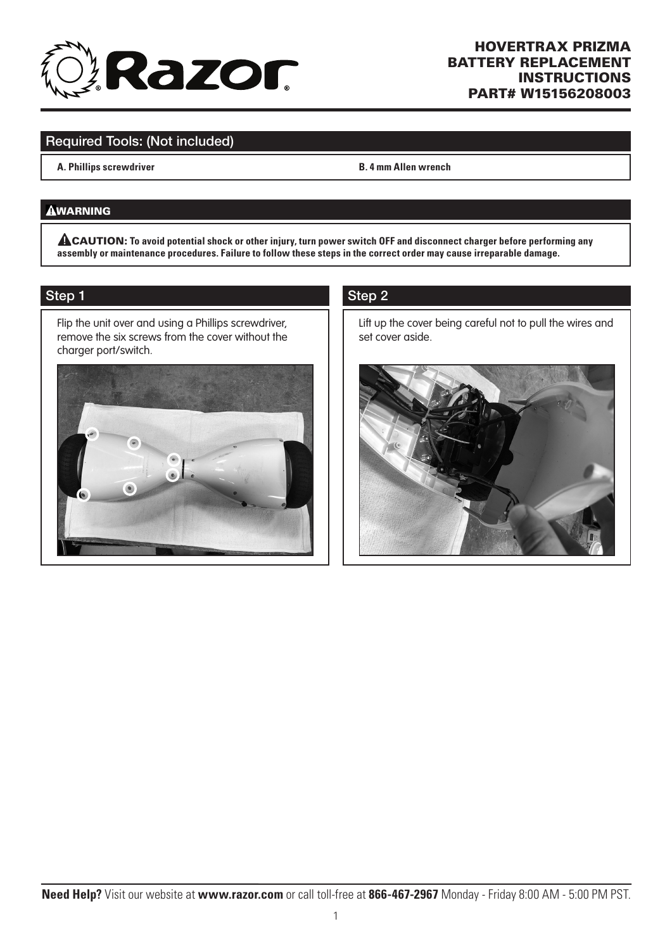

## HOVERTRAX PRIZMA BATTERY REPLACEMENT INSTRUCTIONS PART# W15156208003

# Required Tools: (Not included)

**A. Phillips screwdriver B. 4 mm Allen wrench**

#### **AWARNING**

CAUTION: **To avoid potential shock or other injury, turn power switch OFF and disconnect charger before performing any assembly or maintenance procedures. Failure to follow these steps in the correct order may cause irreparable damage.**

#### Step 1

Flip the unit over and using a Phillips screwdriver, remove the six screws from the cover without the charger port/switch.



## Step 2

Lift up the cover being careful not to pull the wires and set cover aside.